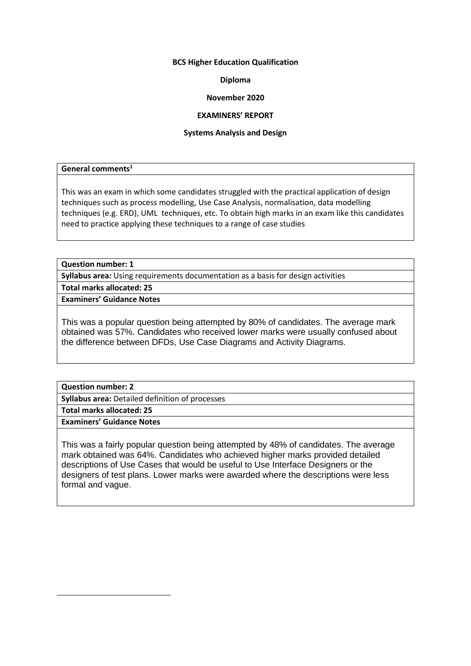#### **BCS Higher Education Qualification**

# **Diploma**

# **November 2020**

# **EXAMINERS' REPORT**

#### **Systems Analysis and Design**

# **General comments<sup>1</sup>**

This was an exam in which some candidates struggled with the practical application of design techniques such as process modelling, Use Case Analysis, normalisation, data modelling techniques (e.g. ERD), UML techniques, etc. To obtain high marks in an exam like this candidates need to practice applying these techniques to a range of case studies

# **Question number: 1**

**Syllabus area:** Using requirements documentation as a basis for design activities

**Total marks allocated: 25**

**Examiners' Guidance Notes**

This was a popular question being attempted by 80% of candidates. The average mark obtained was 57%. Candidates who received lower marks were usually confused about the difference between DFDs, Use Case Diagrams and Activity Diagrams.

**Question number: 2**

**Syllabus area:** Detailed definition of processes

**Total marks allocated: 25**

**Examiners' Guidance Notes**

This was a fairly popular question being attempted by 48% of candidates. The average mark obtained was 64%. Candidates who achieved higher marks provided detailed descriptions of Use Cases that would be useful to Use Interface Designers or the designers of test plans. Lower marks were awarded where the descriptions were less formal and vague.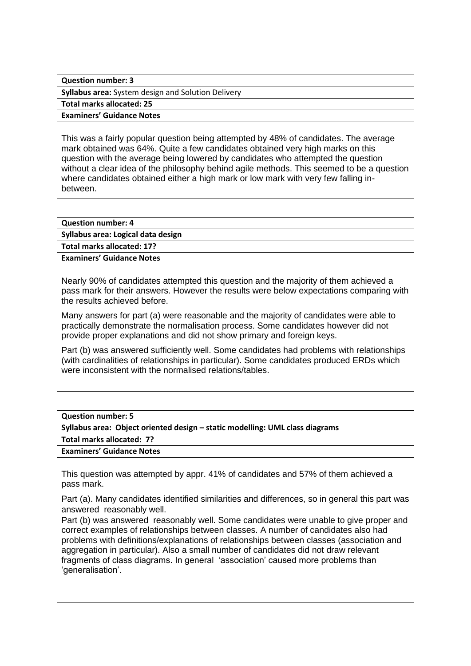**Question number: 3**

**Syllabus area:** System design and Solution Delivery

**Total marks allocated: 25**

**Examiners' Guidance Notes**

This was a fairly popular question being attempted by 48% of candidates. The average mark obtained was 64%. Quite a few candidates obtained very high marks on this question with the average being lowered by candidates who attempted the question without a clear idea of the philosophy behind agile methods. This seemed to be a question where candidates obtained either a high mark or low mark with very few falling inbetween.

# **Question number: 4**

**Syllabus area: Logical data design**

**Total marks allocated: 17?**

**Examiners' Guidance Notes**

Nearly 90% of candidates attempted this question and the majority of them achieved a pass mark for their answers. However the results were below expectations comparing with the results achieved before.

Many answers for part (a) were reasonable and the majority of candidates were able to practically demonstrate the normalisation process. Some candidates however did not provide proper explanations and did not show primary and foreign keys.

Part (b) was answered sufficiently well. Some candidates had problems with relationships (with cardinalities of relationships in particular). Some candidates produced ERDs which were inconsistent with the normalised relations/tables.

|  | <b>Question number: 5</b> |  |  |
|--|---------------------------|--|--|
|--|---------------------------|--|--|

**Syllabus area: Object oriented design – static modelling: UML class diagrams**

**Total marks allocated: 7?**

**Examiners' Guidance Notes**

This question was attempted by appr. 41% of candidates and 57% of them achieved a pass mark.

Part (a). Many candidates identified similarities and differences, so in general this part was answered reasonably well.

Part (b) was answered reasonably well. Some candidates were unable to give proper and correct examples of relationships between classes. A number of candidates also had problems with definitions/explanations of relationships between classes (association and aggregation in particular). Also a small number of candidates did not draw relevant fragments of class diagrams. In general 'association' caused more problems than 'generalisation'.